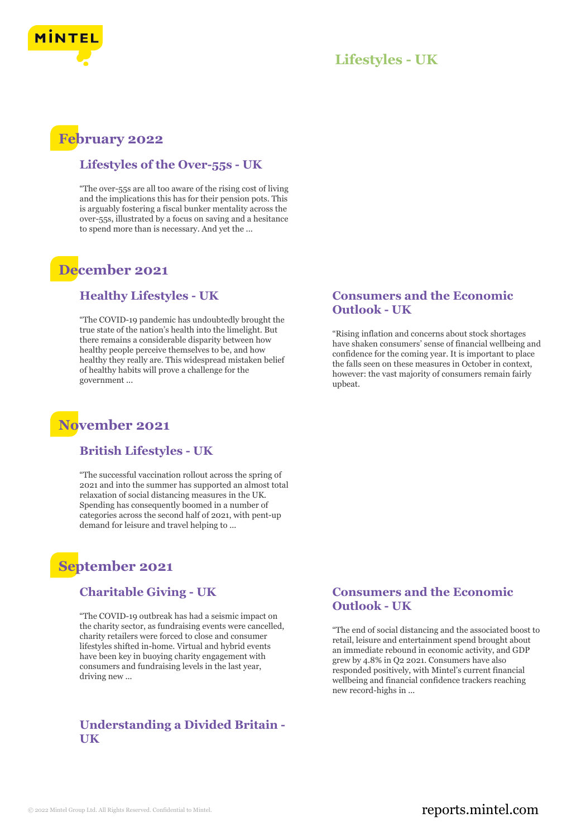

## **Lifestyles - UK**

## **February 2022**

## **Lifestyles of the Over-55s - UK**

"The over-55s are all too aware of the rising cost of living and the implications this has for their pension pots. This is arguably fostering a fiscal bunker mentality across the over-55s, illustrated by a focus on saving and a hesitance to spend more than is necessary. And yet the ...

# **December 2021**

#### **Healthy Lifestyles - UK**

"The COVID-19 pandemic has undoubtedly brought the true state of the nation's health into the limelight. But there remains a considerable disparity between how healthy people perceive themselves to be, and how healthy they really are. This widespread mistaken belief of healthy habits will prove a challenge for the government ...

## **November 2021**

#### **British Lifestyles - UK**

"The successful vaccination rollout across the spring of 2021 and into the summer has supported an almost total relaxation of social distancing measures in the UK. Spending has consequently boomed in a number of categories across the second half of 2021, with pent-up demand for leisure and travel helping to ...

## **September 2021**

#### **Charitable Giving - UK**

"The COVID-19 outbreak has had a seismic impact on the charity sector, as fundraising events were cancelled, charity retailers were forced to close and consumer lifestyles shifted in-home. Virtual and hybrid events have been key in buoying charity engagement with consumers and fundraising levels in the last year, driving new ...

## **Understanding a Divided Britain - UK**

#### **Consumers and the Economic Outlook - UK**

"Rising inflation and concerns about stock shortages have shaken consumers' sense of financial wellbeing and confidence for the coming year. It is important to place the falls seen on these measures in October in context, however: the vast majority of consumers remain fairly upbeat.

#### **Consumers and the Economic Outlook - UK**

"The end of social distancing and the associated boost to retail, leisure and entertainment spend brought about an immediate rebound in economic activity, and GDP grew by 4.8% in Q2 2021. Consumers have also responded positively, with Mintel's current financial wellbeing and financial confidence trackers reaching new record-highs in ...

## © 2022 Mintel Group Ltd. All Rights Reserved. Confidential to Mintel.  $\blacksquare$  reports.mintel.com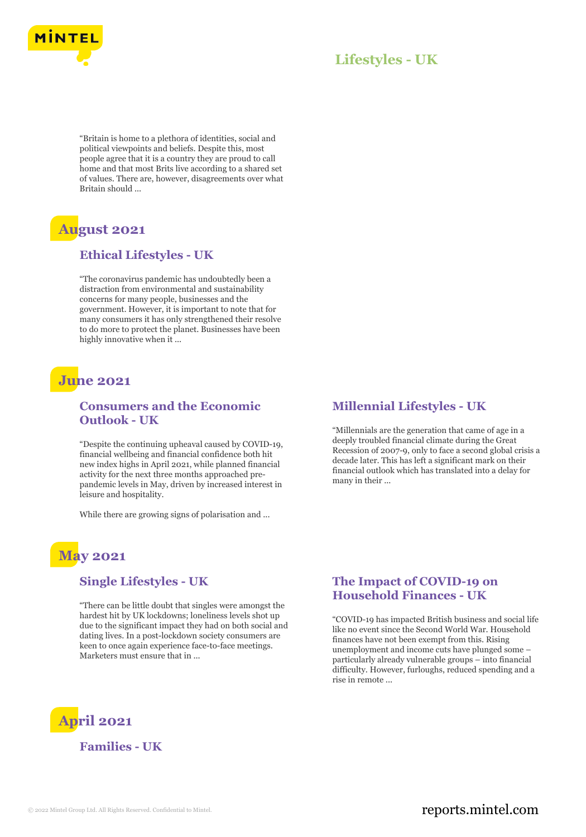

## **Lifestyles - UK**

"Britain is home to a plethora of identities, social and political viewpoints and beliefs. Despite this, most people agree that it is a country they are proud to call home and that most Brits live according to a shared set of values. There are, however, disagreements over what Britain should ...

# **August 2021**

#### **Ethical Lifestyles - UK**

"The coronavirus pandemic has undoubtedly been a distraction from environmental and sustainability concerns for many people, businesses and the government. However, it is important to note that for many consumers it has only strengthened their resolve to do more to protect the planet. Businesses have been highly innovative when it ...

## **June 2021**

### **Consumers and the Economic Outlook - UK**

"Despite the continuing upheaval caused by COVID-19, financial wellbeing and financial confidence both hit new index highs in April 2021, while planned financial activity for the next three months approached prepandemic levels in May, driven by increased interest in leisure and hospitality.

While there are growing signs of polarisation and ...

# **May 2021**

#### **Single Lifestyles - UK**

"There can be little doubt that singles were amongst the hardest hit by UK lockdowns; loneliness levels shot up due to the significant impact they had on both social and dating lives. In a post-lockdown society consumers are keen to once again experience face-to-face meetings. Marketers must ensure that in ...

## **Millennial Lifestyles - UK**

"Millennials are the generation that came of age in a deeply troubled financial climate during the Great Recession of 2007-9, only to face a second global crisis a decade later. This has left a significant mark on their financial outlook which has translated into a delay for many in their ...

#### **The Impact of COVID-19 on Household Finances - UK**

"COVID-19 has impacted British business and social life like no event since the Second World War. Household finances have not been exempt from this. Rising unemployment and income cuts have plunged some – particularly already vulnerable groups – into financial difficulty. However, furloughs, reduced spending and a rise in remote ...



**Families - UK**